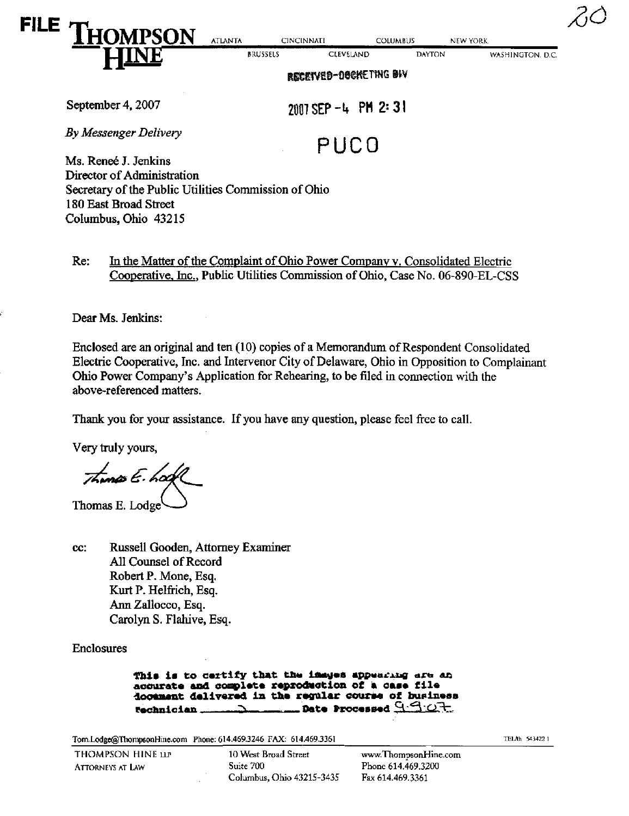| RECEIVED-DOCKETING BIV |                |                   |                  |                 |                  |  |
|------------------------|----------------|-------------------|------------------|-----------------|------------------|--|
|                        |                | <b>BRUSSELS</b>   | <b>CLEVELAND</b> | <b>DAYTON</b>   | WASHINGTON, D.C. |  |
| FILE<br>I HOMPSON      | <b>ATLANTA</b> | <b>CINCINNATI</b> |                  | <b>COLUMBUS</b> | NEW YORK         |  |
|                        |                |                   |                  |                 |                  |  |

September 4, 2007 2001 2001 2001 2001 21:  $2 \cdot 31$ 

By Messenger Delivery<br>
PUCO Ms. Renee J. Jenkins

Director of Administration Secretary of the Public Utilities Commission of Ohio 180 East Broad Street Columbus, Ohio 43215

Re: In the Matter of the Complaint of Ohio Power Company v. Consolidated Electric Cooperative, Inc., Public Utilities Commission of Ohio, Case No. 06-890-EL-CSS

Dear Ms. Jenkins:

Enclosed are an original and ten (10) copies of a Memorandum of Respondent Consolidated Electric Cooperative, Inc. and Intervenor City of Delaware, Ohio in Opposition to Complainant Ohio Power Company's Application for Rehearing, to be filed in connection with the above-referenced matters.

Thank you for your assistance. If you have any question, please feel free to call.

Very truly yours,

Thung E. hock

Thomas E. Lodge

cc: Russell Gooden, Attorney Examiner All Counsel of Record Robert P. Mone, Esq. Kurt P. Helfrich, Esq. Ann Zallocco, Esq. Carolyn S. Flahive, Esq.

**Enclosures** 

This is to certify that the immurs appearing are an accurate and complete reproduction of a case file docement dalivered in the regular course of business<br>Rechnician of the Brocessed  $G \nightharpoonup$  $\longrightarrow$  $\longrightarrow$  **Date Processed**  $9.92.$ 

[Tom.Lodge@ThompsonHine.com](mailto:Tom.Lodge@ThompsonHine.com) Phone: 614.469.3246 FAX: 614.469.3361 1992 1993 1994 1996 1997 1998 1998 1999 1998 1

THOMPSON HINE LLP 10 West Broad Street [www.ThompsonHme.com](http://www.ThompsonHme.com)  ATTORNEYS AT LAW Suite 700 Phone 614,469,3200 Columbus, Ohio 43215-3435 Fax 614.469.3361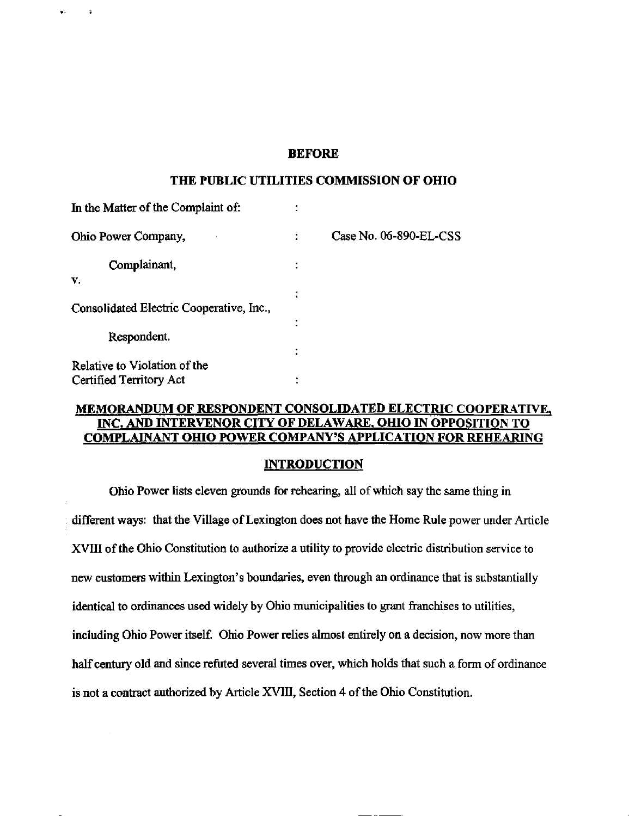### BEFORE

#### THE PUBLIC UTILITIES COMMISSION OF OHIO

| In the Matter of the Complaint of:       | ٠      |                        |
|------------------------------------------|--------|------------------------|
| Ohio Power Company,                      |        | Case No. 06-890-EL-CSS |
| Complainant,                             | ٠<br>٠ |                        |
| v.                                       |        |                        |
|                                          |        |                        |
| Consolidated Electric Cooperative, Inc., |        |                        |
|                                          | ٠      |                        |
| Respondent.                              |        |                        |
|                                          |        |                        |
| Relative to Violation of the             |        |                        |
| Certified Territory Act                  |        |                        |

 $\overline{\mathbf{a}}$ 

### MEMORANDUM OF RESPONDENT CONSOLIDATED ELECTRIC COOPERATIVE. INC. AND INTERVENOR CITY OF DELAWARE, OHIO IN OPPOSITION TO COMPLAINANT OHIO POWER COMPANY^S APPLICATION FOR REHEARING

### INTRODUCTION

Ohio Power lists eleven grounds for rehearing, all of which say the same thing in different ways: that the Village of Lexington does not have the Home Rule power under Article XVIII of the Ohio Constitution to authorize a utility to provide electric distribution service to new customers within Lexington's boundaries, even through an ordinance that is substantially identical to ordinances used widely by Ohio municipalities to grant franchises to utilities, including Ohio Power itself. Ohio Power relies almost entirely on a decision, now more than half century old and since refuted several times over, which holds that such a form of ordinance is not a contract authorized by Article XVIII, Section 4 of the Ohio Constitution.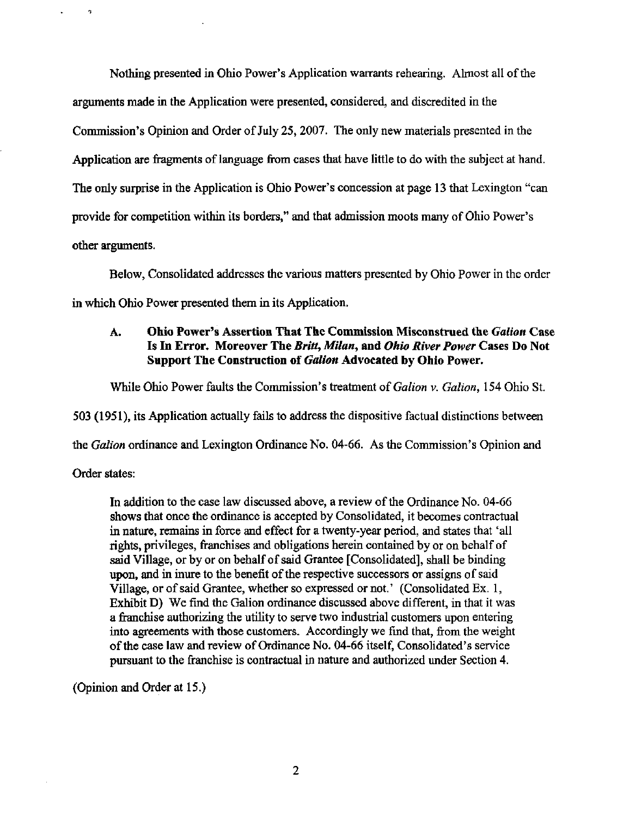Nothing presented in Ohio Power's Application warrants rehearing. Almost all of the arguments made in the Application were presented, considered, and discredited in the Commission's Opinion and Order of July 25,2007. The only new materials presented in the Application are fragments of language from cases that have little to do with the subject at hand. The only surprise in the Application is Ohio Power's concession at page 13 that Lexington "can provide for competition within its borders," and that admission moots many of Ohio Power's other arguments.

Below, Consolidated addresses the various matters presented by Ohio Power in the order in which Ohio Power presented them in its Application.

# A. Ohio Power's Assertion That The Commission Misconstrued the Gallon Case Is In Error. Moreover The Britt, Milan, and Ohio River Power Cases Do Not Support The Construction of Galion Advocated by Ohio Power.

While Ohio Power faults the Commission's treatment of Galion v. Galion, 154 Ohio St.

503 (1951), its AppHcation actually fails to address the dispositive factual distinctions between

the Galion ordinance and Lexington Ordinance No. 04-66. As the Commission's Opinion and

Order states:

<sub>2</sub>

In addition to the case law discussed above, a review of the Ordinance No. 04-66 shows that once the ordinance is accepted by Consolidated, it becomes contractual in nature, remains in force and effect for a twenty-year period, and states that 'all rights, privileges, franchises and obligations herein contained by or on behalf of said Village, or by or on behalf of said Grantee [Consolidated], shall be binding upon, and in inure to the benefit of the respective successors or assigns of said Village, or of said Grantee, whether so expressed or not.' (Consolidated Ex. 1, Exhibit D) We find the Galion ordinance discussed above different, in that it was a franchise authorizing the utility to serve two industrial customers upon entering into agreements with those customers. Accordingly we find that, from the weight of the case law and review of Ordinance No. 04-66 itself, Consolidated's service pursuant to the franchise is contractual in nature and authorized under Section 4.

(Opinion and Order at 15.)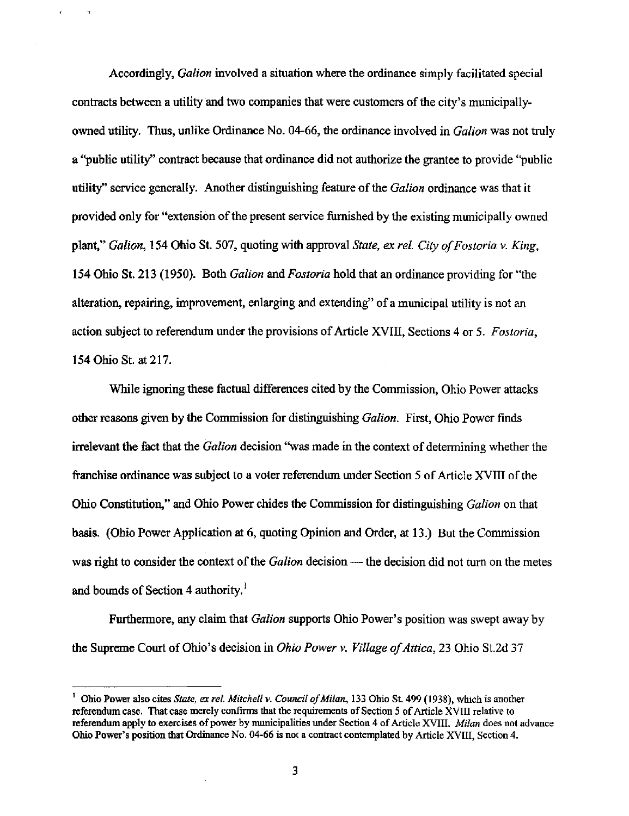Accordingly, *Galion* involved a situation where the ordinance simply facilitated special contracts between a utility and two companies that were customers of the city's municipallyowned utility. Thus, unlike Ordinance No. 04-66, the ordinance involved in Galion was not truly a ''public utility" contract because that ordinance did not authorize the grantee to provide "public utility" service generally. Another distinguishing feature of the Galion ordinance was that it provided only for "extension of the present service furnished by the existing municipally owned plant," Galion, 154 Ohio St. 507, quoting with approval State, ex rel. City of Fostoria v. King, 154 Ohio St. 213 (1950). Both *Galion* and *Fostoria* hold that an ordinance providing for "the alteration, repairing, improvement, enlarging and extending" of a municipal utility is not an action subject to referendum under the provisions of Article XVIII, Sections 4 or 5. Fostoria, 154 Ohio St at 217.

While ignoring these factual differences cited by the Commission, Ohio Power attacks other reasons given by the Commission for distinguishing Galion. First, Ohio Power finds irrelevant the fact that the Galion decision "was made in the context of determining whether the franchise ordinance was subject to a voter referendum under Section 5 of Article XVIII of the Ohio Constitution," and Ohio Power chides the Commission for distinguishing Gallon on that basis. (Ohio Power Application at 6, quoting Opinion and Order, at 13.) But the Commission was right to consider the context of the Galion decision — the decision did not turn on the metes and bounds of Section 4 authority. $<sup>1</sup>$ </sup>

Furthermore, any claim that *Galion* supports Ohio Power's position was swept away by the Supreme Court of Ohio's decision in Ohio Power v. Village of Attica, 23 Ohio St.2d 37

Ohio Power also cites State, ex rel. Mitchell v. Council of Milan, 133 Ohio St. 499 (1938), which is another referendum case. That case merely confirms that the requirements of Section 5 of Article XVIII relative to referendum apply to exercises of power by municipalities under Section 4 of Article XVIII. Milan does not advance Ohio Power's position that Ordinance No. 04-66 is not a contract conten^lated by Article XVIII, Section 4.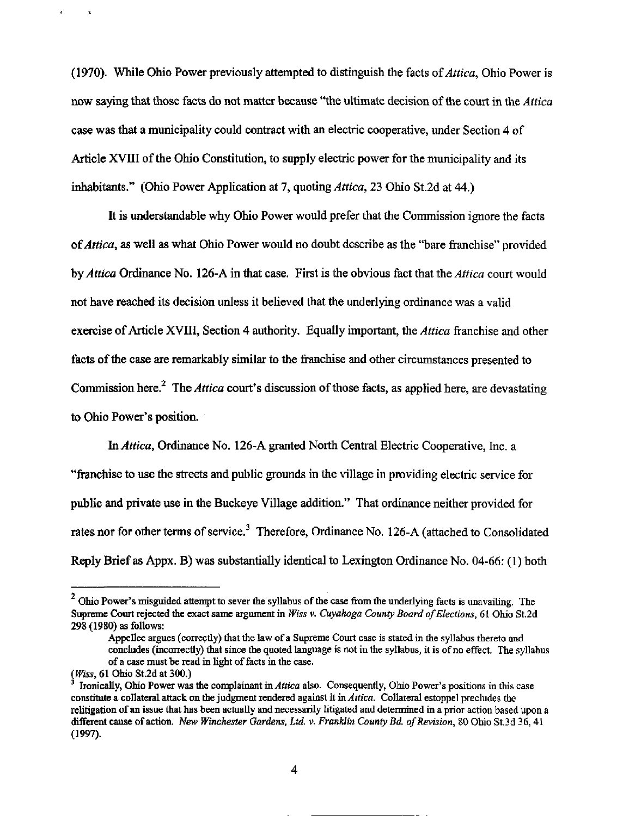(1970). While Ohio Power previously attempted to distinguish the facts of  $Attica$ , Ohio Power is now saying that those facts do not matter because "the ultimate decision of the court in the Attica case was that a municipality could contract with an electric cooperative, under Section 4 of Article XVIII of the Ohio Constitution, to supply electric power for the municipality and its inhabitants." (Ohio Power Application at 7, quoting Attica, 23 Ohio St.2d at 44.)

It is understandable why Ohio Power would prefer that the Commission ignore the facts of Attica, as well as what Ohio Power would no doubt describe as the "bare franchise" provided hy Attica Ordinance No. 126-A in that case. First is the obvious fact that the Attica court would not have reached its decision unless it believed that the underlying ordinance was a valid exercise of Article XVIII, Section 4 authority. Equally important, the Attica franchise and other facts of the case are remarkably similar to the franchise and other circumstances presented to Commission here.<sup>2</sup> The Attica court's discussion of those facts, as applied here, are devastating to Ohio Power's position.

In Attica, Ordinance No. 126-A granted North Central Electric Cooperative, Inc. a "franchise to use the streets and public grounds in the village in providing electric service for public and private use in the Buckeye Village addition." That ordinance neither provided for rates nor for other terms of service.<sup>3</sup> Therefore, Ordinance No. 126-A (attached to Consolidated Reply Brief as Appx. B) was substantially identical to Lexington Ordinance No. 04-66: (1) both

 $\mathbf{r}$ 

 $2$  Ohio Power's misguided attempt to sever the syllabus of the case from the underlying facts is unavailing. The Supreme Court rejected the exact same argument in Wiss v. Cuyahoga County Board of Elections, 61 Ohio St.2d 298(1980) as follows:

Appellee argues (conectly) that the law of a Supreme Court case is stated in the syllabus thereto and concludes (incorrectly) that since the quoted language is not in the syllabus, it is of no effect. The syllabus of a case must be read in light of facts in the case.

<sup>(</sup>Wiss, 61 Ohio St.2d at 300.)

Ironically, Ohio Power was the complainant in Attica also. Consequently, Ohio Power's positions in this case constitute a collateral attack on the judgment rendered against it in Attica. Collateral estoppel precludes the relitigation of an issue that has been actually and necessarily litigated and determined in a prior action based upon a different cause of action. New Winchester Gardens, Ltd. v. Franklin County Bd. of Revision, 80 Ohio St.3d 36, 41 (1997).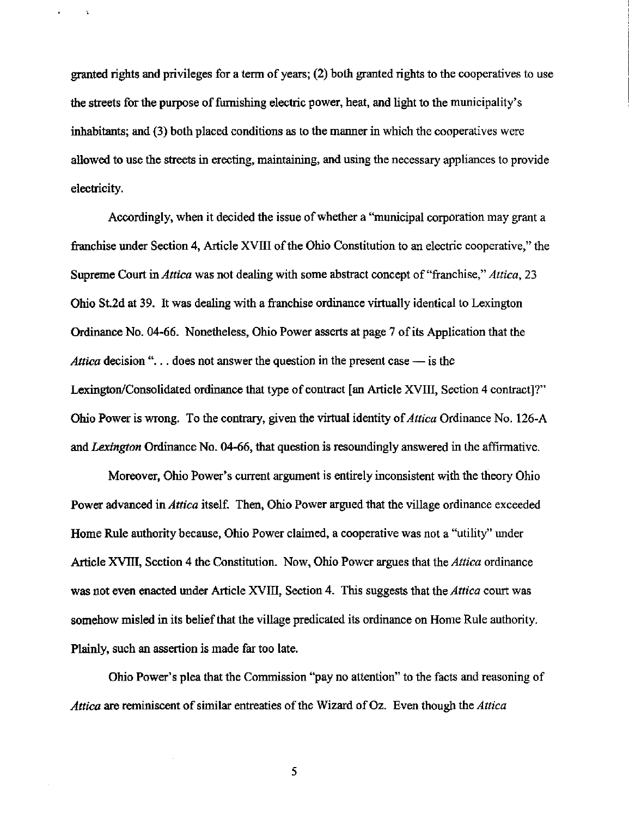granted rights and privileges for a term of years; (2) both granted rights to the cooperatives to use the streets for the purpose of furnishing electric power, heat, and light to the municipality's inhabitants; and (3) both placed conditions as to the manner in which the cooperatives were allowed to use the streets in erecting, maintaining, and using the necessary appliances to provide electricity.

 $\mathbf{r}$ 

Accordingly, when it decided the issue of whether a "municipal corporation may grant a franchise under Section 4, Article XVIII of the Ohio Constitution to an electric cooperative," the Supreme Court in *Attica* was not dealing with some abstract concept of "franchise," *Attica*, 23 Ohio St.2d at 39. It was dealing with a franchise ordinance virtually identical to Lexington Ordinance No. 04-66. Nonetheless, Ohio Power asserts at page 7 of its Application that the Attica decision "... does not answer the question in the present case  $-$  is the Lexington/Consolidated ordinance that type of contract [an Article XVIII, Section 4 contract]?" Ohio Power is wrong. To the contrary, given the virtual identity of Attica Ordinance No. 126-A and Lexington Ordinance No. 04-66, that question is resoundingly answered in the affirmative.

Moreover, Ohio Power's current argument is entirely inconsistent with the theory Ohio Power advanced in Attica itself. Then, Ohio Power argued that the village ordinance exceeded Home Rule authority because, Ohio Power claimed, a cooperative was not a "utihty" under Article XVIII, Section 4 the Constitution. Now, Ohio Power argues that the Attica ordinance was not even enacted under Article XVIII, Section 4. This suggests that the Attica court was somehow misled in its belief that the village predicated its ordinance on Home Rule authority. Plainly, such an assertion is made far too late.

Ohio Power's plea that the Commission "pay no attention" to the facts and reasoning of Attica are reminiscent of similar entreaties of the Wizard of Oz. Even though the Attica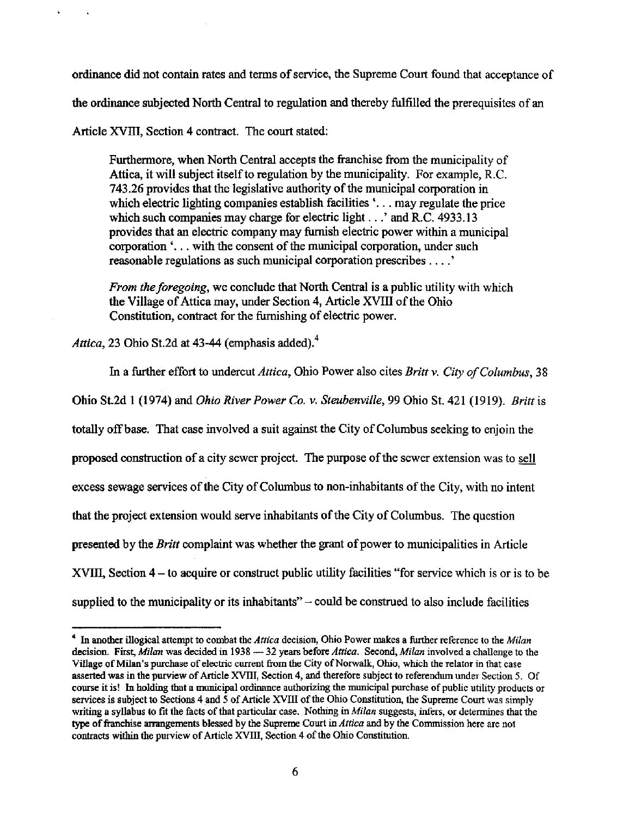ordinance did not contain rates and terms of service, the Supreme Court found that acceptance of the ordinance subjected North Central to regulation and thereby fulfilled the prerequisites of an Article XVIII, Section 4 contract. The court stated:

Furthermore, when North Central accepts the franchise from the municipality of Attica, it will subject itself to regulation by the municipality. For example, R.C. 743.26 provides that the legislative authority of the municipal corporation in which electric lighting companies establish facilities '... may regulate the price which such companies may charge for electric light...' and R.C. 4933.13 provides that an electric company may furnish electric power within a municipal corporation  $\cdot$ ... with the consent of the municipal corporation, under such reasonable regulations as such municipal corporation prescribes .... '

From the foregoing, we conclude that North Central is a public utility with which the Village of Attica may, under Section 4, Article XVIII of the Ohio Constitution, contract for the furnishing of electric power.

Attica, 23 Ohio St.2d at 43-44 (emphasis added). $4$ 

In a further effort to undercut Attica, Ohio Power also cites Britt v. City of Columbus, 38 Ohio St.2d 1 (1974) and Ohio River Power Co. v. Steubenville, 99 Ohio St. 421 (1919). Britt is totally off base. That case involved a suit against the City of Columbus seeking to enjoin the proposed construction of a city sewer project. The purpose of the sewer extension was to sell excess sewage services ofthe City of Columbus to non-inhabitants ofthe City, with no intent that the project extension would serve inhabitants of the City of Columbus. The question presented by the Britt complaint was whether the grant of power to municipalities in Article XVIII, Section 4 – to acquire or construct public utility facilities "for service which is or is to be supplied to the municipality or its inhabitants" $-$  could be construed to also include facilities

<sup>&</sup>lt;sup>4</sup> In another illogical attempt to combat the *Attica* decision, Ohio Power makes a further reference to the *Milan* decision. First, Milan was decided in 1938 - 32 years before Attica. Second, Milan involved a challenge to the Village of Milan's purchase of electric current from the City of Norwalk, Ohio, which the relator in that case asserted was in the purview of Article XVIII, Section 4, and therefore subject to referendum under Section 5. Of course it is! In holding that a municipal ordinance authorizing the municipal purchase of public utility products or services is subject to Sections 4 and 5 of Article XVIII of the Ohio Constitution, the Supreme Court was simply writing a syllabus to fit the facts of that particular case. Nothing in  $Milan$  suggests, infers, or determines that the type of franchise arrangements blessed by the Supreme Court in Attica and by the Commission here are not contracts within the purview of Article XVIII, Section 4 of the Ohio Constitution.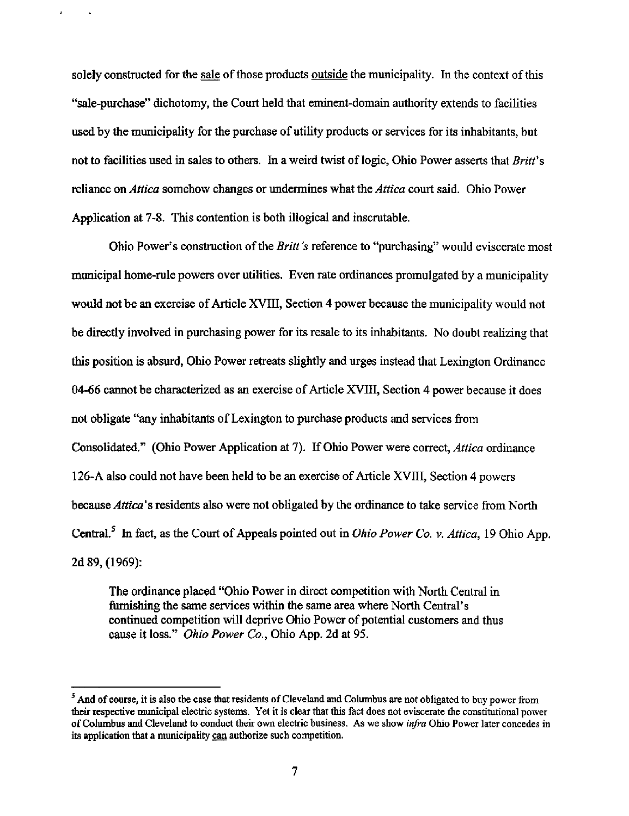solely constructed for the sale of those products outside the municipality. In the context of this "sale-purchase" dichotomy, the Court held that eminent-domain authority extends to facilities used by the municipality for the purchase of utility products or services for its inhabitants, but not to facilities used in sales to others. In a weird twist of logic, Ohio Power asserts that Britt's reliance on *Attica* somehow changes or undermines what the *Attica* court said. Ohio Power Application at 7-8. This contention is both illogical and inscrutable.

Ohio Power's construction of the *Britt's* reference to "purchasing" would eviscerate most municipal home-rule powers over utilities. Even rate ordinances promulgated by a municipality would not be an exercise of Article XVIII, Section 4 power because the municipality would not be directly involved in purchasing power for its resale to its inhabitants. No doubt realizing that this position is absurd, Ohio Power retreats slightly and urges instead that Lexington Ordinance 04-66 cannot be characterized as an exercise of Article XVIII, Section 4 power because it does not obligate "any inhabitants of Lexington to purchase products and services from Consolidated." (Ohio Power Application at 7). If Ohio Power were correct, *Attica* ordinance 126-A also could not have been held to be an exercise of Article XVIII, Section 4 powers because Attica's residents also were not obligated by the ordinance to take service from North Central.<sup>5</sup> In fact, as the Court of Appeals pointed out in *Ohio Power Co. v. Attica*, 19 Ohio App. 2d 89, (1969):

The ordinance placed "Ohio Power in direct competition with North Central in furnishing the same services within the same area where North Central's continued competition will deprive Ohio Power of potential customers and thus cause it loss." Ohio Power Co., Ohio App. 2d at 95.

 $<sup>5</sup>$  And of course, it is also the case that residents of Cleveland and Columbus are not obligated to buy power from</sup> their respective municipal electric systems. Yet it is clear that this fact does not eviscerate the constitutional power of Columbus and Cleveland to conduct their own electric business. As we show infra Ohio Power later concedes in its application that a municipality can authorize such competition.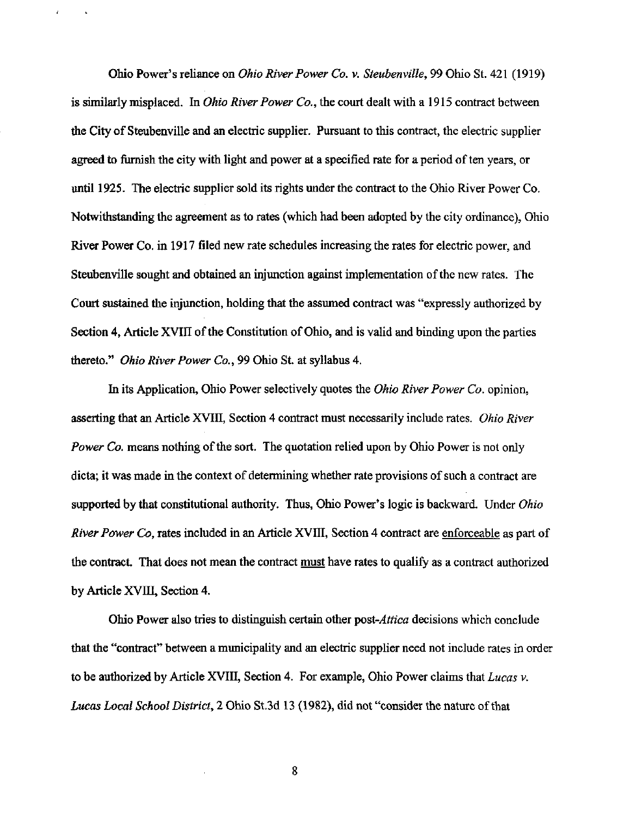Ohio Power's reliance on Ohio River Power Co. v. Steubenville, 99 Ohio St. 421 (1919) is similarly misplaced. In *Ohio River Power Co.*, the court dealt with a 1915 contract between the City of Steubenville and an electric supplier. Pursuant to this contract, the electric supplier agreed to furnish the city with light and power at a specified rate for a period of ten years, or until 1925. The electric supplier sold its rights under the contract to the Ohio River Power Co. Notwithstanding the agreement as to rates (which had been adopted by the city ordinance), Ohio River Power Co. in 1917 filed new rate schedules increasing the rates for electric power, and Steubenville sought and obtained an injunction against implementation of the new rates. The Court sustained the injunction, holding that the assumed contract was "expressly authorized by Section 4, Article XVIII of the Constitution of Ohio, and is valid and binding upon the parties thereto." Ohio River Power Co., 99 Ohio St. at syllabus 4.

In its Application, Ohio Power selectively quotes the *Ohio River Power Co.* opinion, asserting that an Article XVIII, Section 4 contract must necessarily include rates. Ohio River Power Co. means nothing of the sort. The quotation relied upon by Ohio Power is not only dicta; it was made in the context of determining whether rate provisions of such a contract are supported by that constitutional authority. Thus, Ohio Power's logic is backward. Under *Ohio* River Power Co, rates included in an Article XVIII, Section 4 contract are enforceable as part of the contract. That does not mean the contract must have rates to qualify as a contract authorized by Article XVIII, Section 4.

Ohio Power also tries to distinguish certain other post-*Attica* decisions which conclude that the "contract" between a municipality and an electric supplier need not include rates in order to be authorized by Article XVIII, Section 4. For example, Ohio Power claims that  $Lucas v$ . Lucas Local School District, 2 Ohio St.3d 13 (1982), did not "consider the nature of that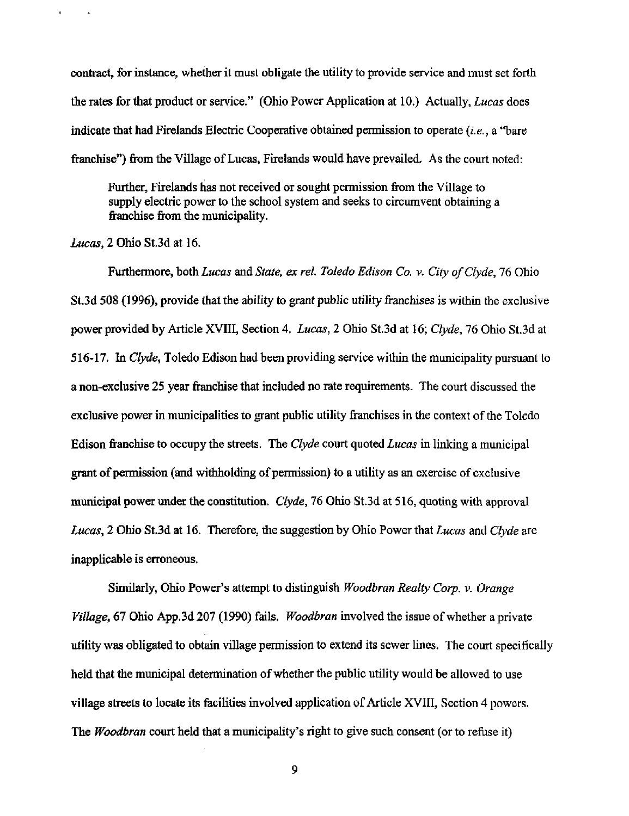contract, for instance, whether it must obligate the utility to provide service and must set forth the rates for that product or service." (Ohio Power Application at 10.) Actually, Lucas does indicate that had Firelands Electric Cooperative obtained permission to operate (i.e., a "bare franchise") from the Village of Lucas, Firelands would have prevailed. As the court noted:

Further, Firelands has not received or sought permission from the Village to supply electric power to the school system and seeks to circumvent obtaining a franchise from the municipality.

Lucas,  $2$  Ohio St.3d at 16.

 $\ddot{\phantom{a}}$ 

Furthermore, both Lucas and State, ex rel. Toledo Edison Co. v. City of Clyde, 76 Ohio St3d 508 (1996), provide that the ability to grant public utility franchises is within the exclusive power provided by Article XVIII, Section 4. Lucas, 2 Ohio St.3d at 16; Clyde, 16 Ohio St.3d at 516-17. In Clyde, Toledo Edison had been providing service within the municipality pursuant to a non-exclusive 25 year franchise that included no rate requirements. The court discussed the exclusive power in municipalities to grant public utility franchises in the context of the Toledo Edison franchise to occupy the streets. The Clyde court quoted Lucas in linking a municipal grant of permission (and withholding of permission) to a utility as an exercise of exclusive municipal power under the constitution. Clyde, 76 Ohio St.3d at 516, quoting with approval Lucas, 2 Ohio St.3d at 16. Therefore, the suggestion by Ohio Power that Lucas and Clyde are inappticable is erroneous.

Similarly, Ohio Power's attempt to distinguish Woodbran Realty Corp. v. Orange Village, 67 Ohio App.3d 207 (1990) fails. Woodbran mvolved the issue of whether a private utility was obligated to obtain village permission to extend its sewer lines. The court specifically held that the municipal determination of whether the public utility would be allowed to use village streets to locate its facilities involved application of Article XVIII, Section 4 powers. The *Woodbran* court held that a municipality's right to give such consent (or to refuse it)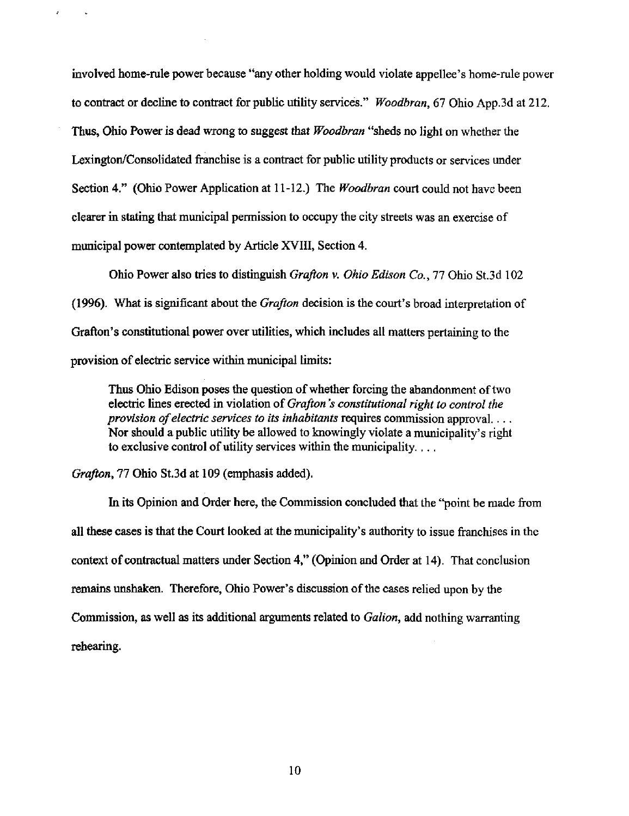involved home-mle power because "any other holding would violate appellee's home-mle power to contract or decline to contract for public utility services." Woodbran, 67 Ohio App.3d at 212. Thus, Ohio Power is dead wrong to suggest that Woodbran "sheds no light on whether the Lexington/Consolidated franchise is a contract for public utility products or services under Section 4." (Ohio Power Application at 11-12.) The *Woodbran* court could not have been clearer in stating that municipal permission to occupy the city streets was an exercise of municipal power contemplated by Article XVIII, Section 4.

Ohio Power also tries to distinguish Grafton v. Ohio Edison Co., 77 Ohio St.3d 102 (1996). What is significant about the *Grafton* decision is the court's broad interpretation of Grafton's constitutional power over utilities, which includes all matters pertaining to the provision of electric service within municipal timits:

Thus Ohio Edison poses the question of whether forcing the abandonment of two electric lines erected in violation of Grafton's constitutional right to control the provision of electric services to its inhabitants requires commission approval... Nor should a public utility be allowed to knowingly violate a municipality's right to exclusive control of utility services within the municipality....

Grafton, 11 Ohio St.3d at 109 (emphasis added).

Ŷ.

In its Opinion and Order here, the Commission concluded that the "point be made from all these cases is that the Court looked at the municipality's authority to issue franchises in the context of contractual matters imder Section 4," (Opinion and Order at 14). That conclusion remains unshaken. Therefore, Ohio Power's discussion of the cases relied upon by the Commission, as well as its additional arguments related to Galion, add nothing warranting rehearing.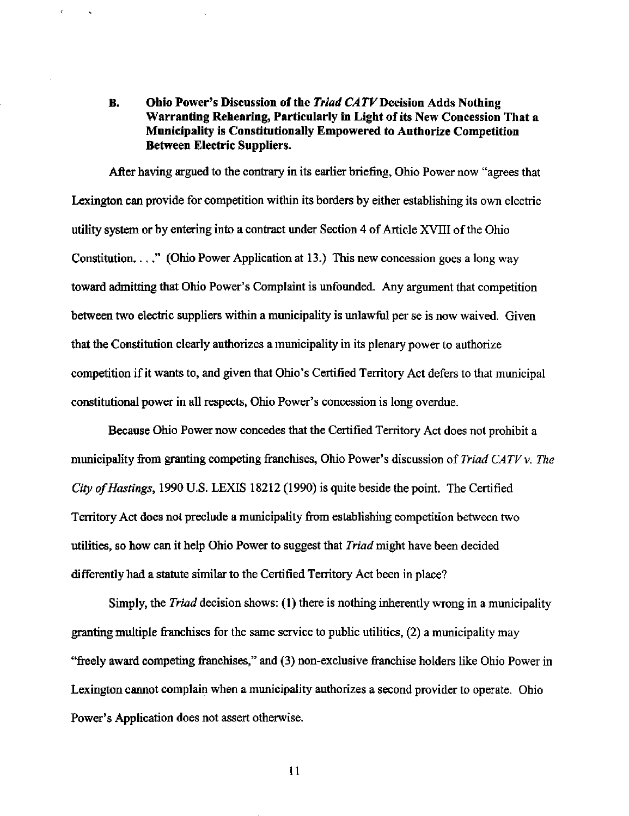# B. Ohio Power's Discussion of the Triad CATV Decision Adds Nothing Warranting Rehearing, Particularly in Light of its New Concession That a Municipality is Constitutionally Empowered to Authorize Competition Between Electric Suppliers.

 $\mathcal{L}$ 

After having argued to the contrary in its earlier briefing, Ohio Power now "agrees that Lexington can provide for competition within its borders by either establishing its own electric utility system or by entering into a contract under Section 4 of Article XVIII ofthe Ohio Constitution...," (Ohio Power Application at 13.) This new concession goes a long way toward admitting that Ohio Power's Complaint is unfounded. Any argument that competition between two electric suppliers within a municipality is unlawful per se is now waived. Given that the Constitution clearly authorizes a municipality in its plenary power to authorize competition if it wants to, and given that Ohio's Certified Territory Act defers to that municipal constitutional power in all respects, Ohio Power's concession is long overdue.

Because Ohio Power now concedes that the Certified Territory Act does not prohibit a municipality from granting competing franchises, Ohio Power's discussion of Triad CATV  $\nu$ . The City of Hastings, 1990 U.S. LEXIS 18212 (1990) is quite beside the point. The Certified Territory Act does not preclude a municipality from establishing competition between two utilities, so how can it help Ohio Power to suggest that *Triad* might have been decided differently had a statute similar to the Certified Territory Act been in place?

Simply, the *Triad* decision shows: (1) there is nothing inherently wrong in a municipality granting multiple franchises for the same service to public utilities, (2) a municipality may "freely award competing franchises," and (3) non-exclusive franchise holders like Ohio Power in Lexington cannot complain when a municipality authorizes a second provider to operate. Ohio Power's Application does not assert otherwise.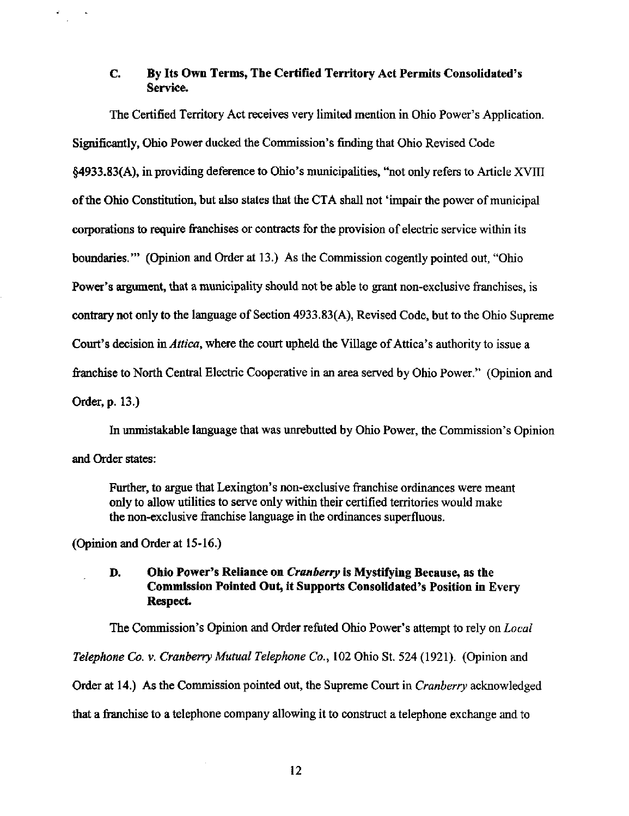## C. By Its Own Terms, The Certified Territory Act Permits Consolidated's Service.

The Certified Territory Act receives very limited mention in Ohio Power's Application. Significantly, Ohio Power ducked the Commission's finding that Ohio Revised Code §4933.83(A), in providing deference to Ohio's municipalities, '\*not only refers to Article XVIII of the Ohio Constitution, but also states that the CTA shall not 'impair the power of municipal corporations to require franchises or contracts for the provision of electric service within its boundaries."" (Opinion and Order at 13.) As the Commission cogently pointed out, "Ohio Power's argument, that a municipality should not be able to grant non-exclusive franchises, is contrary not only to the language of Section 4933.83(A), Revised Code, but to the Ohio Supreme Court's decision in Attica, where the court upheld the Village of Attica's authority to issue a franchise to North Central Electric Cooperative in an area served by Ohio Power." (Opinion and Order, p. 13.)

In unmistakable language that was imrebutted by Ohio Power, the Commission's Opinion and Order states:

Further, to argue that Lexington's non-exclusive franchise ordinances were meant only to allow utilities to serve only within their certified territories would make the non-exclusive franchise language in the ordinances superfluous.

(Opinion and Order at 15-16.)

¥.

## D. Ohio Power's Reliance on Cranberry is Mystifying Because, as the Commission Pointed Out, it Supports Consolidated's Position in Every Respect

The Commission's Opinion and Order refuted Ohio Power's attempt to rely on *Local* Telephone Co. v. Cranberry Mutual Telephone Co., 102 Ohio St. 524 (1921). (Opinion and Order at 14.) As the Commission pointed out, the Supreme Court in Cranberry acknowledged that a franchise to a telephone company allowing it to construct a telephone exchange and to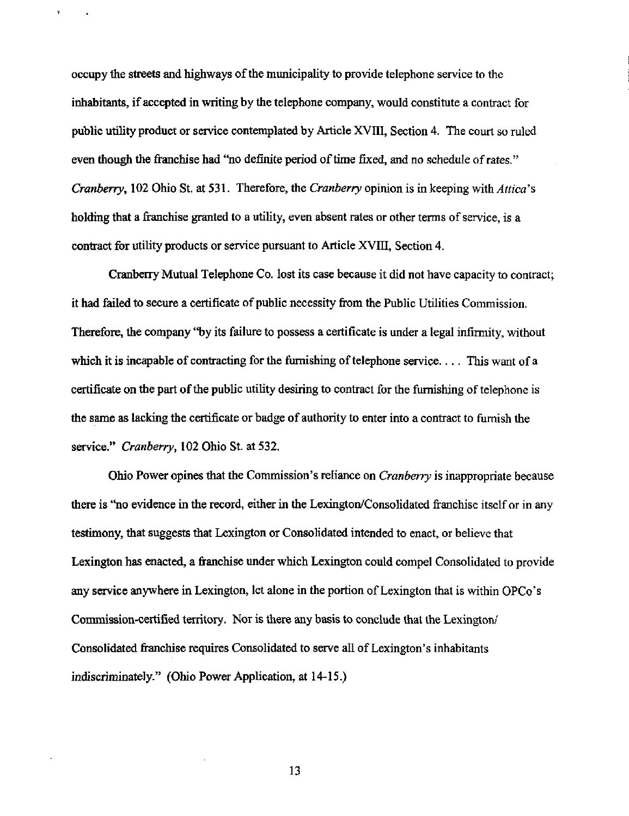occupy the streets and highways of the municipality to provide telephone service to the inhabitants, if accepted in writing by the telephone company, would constitute a contract for public utility product or service contemplated by Article XVIII, Section 4. The court so mled even though the franchise had "no definite period of time fixed, and no schedule of rates." Cranberry, 102 Ohio St. at 531. Therefore, the Cranberry opinion is in keeping with  $Attica$ 's holding that a franchise granted to a utility, even absent rates or other terms of service, is a contract for utility products or service pursuant to Article XVIII, Section 4.

 $\overline{\textbf{r}}$ 

Cranberry Mutual Telephone Co. lost its case because it did not have capacity to contract; it had failed to secure a certificate of public necessity from the Public Utilities Commission. Therefore, the company "by its failure to possess a certificate is under a legal infirmity, without which it is incapable of contracting for the furnishing of telephone service.... This want of a certificate on the part of the public utility desiring to contract for the furnishing of telephone is the same as lacking the certificate or badge of authority to enter into a contract to furnish the service." Cranberry, 102 Ohio St. at 532.

Ohio Power opines that the Commission's reliance on *Cranberry* is inappropriate because there is "no evidence in the record, either in the Lexington/Consolidated franchise itself or in any testimony, that suggests that Lexington or Consolidated intended to enact, or believe that Lexington has enacted, a franchise under which Lexington could compel Consolidated to provide any service anywhere in Lexington, let alone in the portion of Lexington that is within OPCo's Commission-certified territory. Nor is there any basis to conclude that the Lexington/ Consolidated franchise requires Consolidated to serve all of Lexington's inhabitants indiscriminately." (Ohio Power Application, at 14-15.)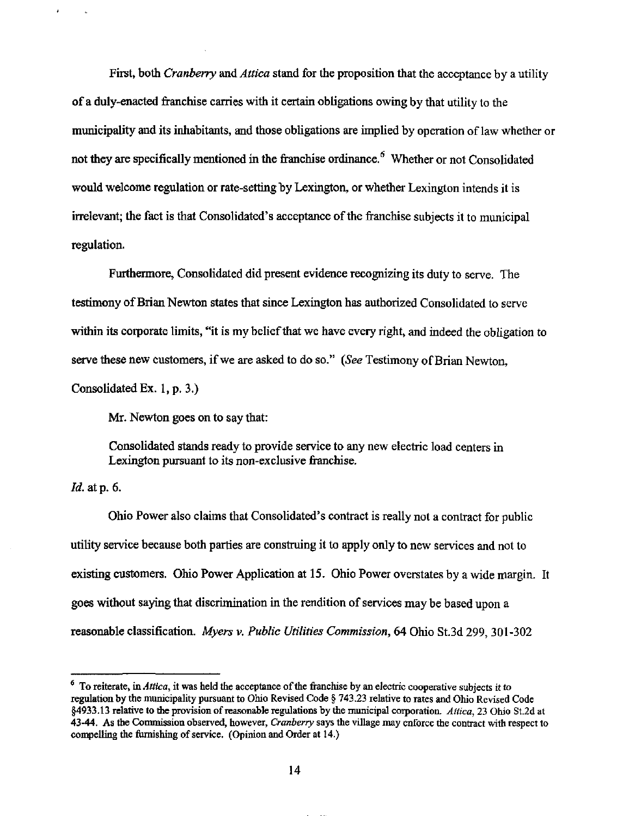First, both Cranberry and Attica stand for the proposition that the acceptance by a utility of a duly-enacted franchise carries with it certain obtigations owing by that utility to the municipality and its inhabitants, and those obligations are implied by operation of law whether or not they are specifically mentioned in the franchise ordinance. $^6$  Whether or not Consolidated would welcome regulation or rate-setting by Lexington, or whether Lexington intends it is irrelevant; the fact is that Consolidated's acceptance of the franchise subjects it to municipal regulation.

Furthermore, Consolidated did present evidence recognizing its duty to serve. The testimony of Brian Newton states that since Lexington has authorized Consolidated to serve within its corporate limits, "it is my belief that we have every right, and indeed the obligation to serve these new customers, if we are asked to do so." (See Testimony of Brian Newton, Consolidated Ex. 1, p. 3.)

Mr. Newton goes on to say that:

Consolidated stands ready to provide service to any new electric load centers in Lexington pursuant to its non-exclusive franchise.

Id. at p. 6.

Ohio Power also claims that Consolidated's contract is really not a contract for public utility service because both parties are construing it to apply only to new services and not to existing customers. Ohio Power Application at 15. Ohio Power overstates by a wide margin. It goes without saying that discrimination in the rendition of services may be based upon a reasonable classification. Myers v. Public Utilities Commission, 64 Ohio St.3d 299, 301-302

 $<sup>6</sup>$  To reiterate, in *Attica*, it was held the acceptance of the franchise by an electric cooperative subjects it to</sup> regulation by the municipality pursuant to Ohio Revised Code § 743.23 relative to rates and Ohio Revised Code §4933.13 relative to the provision of reasonable regulations by the municipal corporation. Attica, 23 Ohio St.2d at 43-44. As the Commission observed, however, Cranberry says the village may enforce the contract with respect to compelling the furnishing of service. (Opinion and Order at 14.)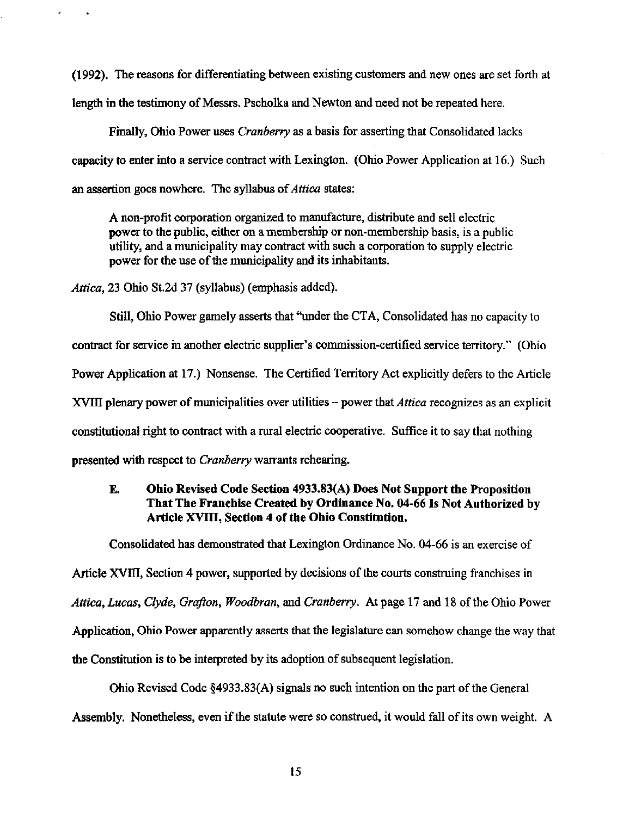(1992). The reasons for differentiating between existing customers and new ones are set forth at length in the testimony of Messrs. Pscholka and Newton and need not be repeated here.

Finally, Ohio Power uses *Cranberry* as a basis for asserting that Consolidated lacks capacity to enter into a service contract with Lexington. (Ohio Power Application at 16.) Such an assertion goes nowhere. The syllabus of *Attica* states:

A non-profit corporation organized to manufacture, distribute and sell electric power to the public, either on a membership or non-membership basis, is a public utility, and a municipahty may contract with such a corporation to supply electric power for the use of the municipality and its inhabitants.

Attica, 23 Ohio St.2d 37 (syllabus) (emphasis added).

Still, Ohio Power gamely asserts that "under the CTA, Consolidated has no capacity to contract for service in another electric supplier's commission-certified service territory." (Ohio Power Application at 17.) Nonsense. The Certified Territory Act explicitly defers to the Article XVIII plenary power of municipalities over utilities - power that *Attica* recognizes as an explicit constitutional right to contract with a rural electric cooperative. Suffice it to say that nothing presented with respect to *Cranberry* warrants rehearing.

## E, Ohio Revised Code Section 4933.83(A) Does Not Support the Proposition That The Franchise Created by Ordinance No. 04-66 Is Not Authorized by Article XVIII, Section 4 of the Ohio Constitution.

Consolidated has demonstrated that Lexington Ordinance No. 04-66 is an exercise of

Article XVIII, Section 4 power, supported by decisions of the courts construing franchises in Attica, Lucas, Clyde, Grafton, Woodbran, and Cranberry. At page 17 and 18 of the Ohio Power Application, Ohio Power apparently asserts that the legislature can somehow change the way that the Constitution is to be interpreted by its adoption of subsequent legislation.

Ohio Revised Code  $\S 4933.83(A)$  signals no such intention on the part of the General Assembly. Nonetheless, even if the statute were so construed, it would fall of its own weight. A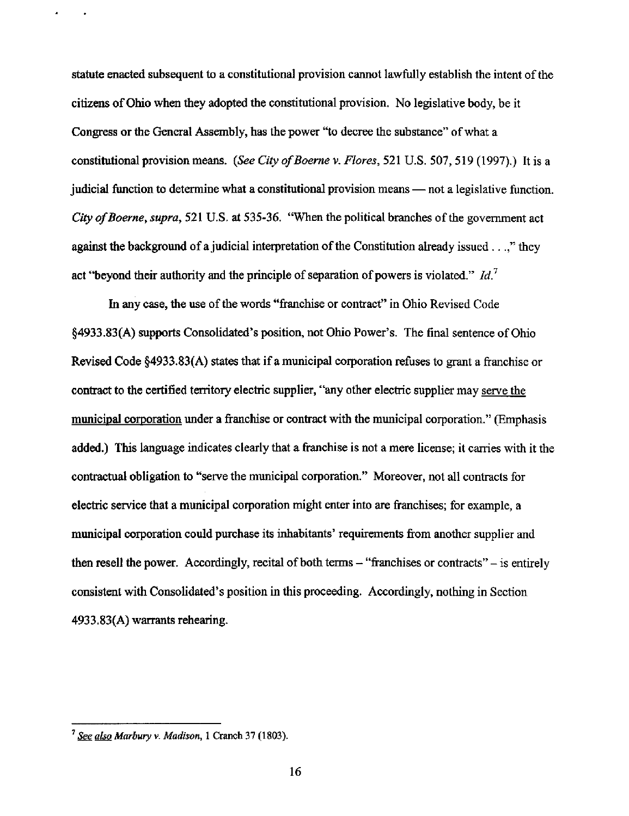statute enacted subsequent to a constitutional provision cannot lawfully establish the intent of the citizens of Ohio when they adopted the constitutional provision. No legislative body, be it Congress or the General Assembly, has the power "to decree the substance" of what a constitutional provision means. (See City of Boerne v. Flores, 521 U.S. 507, 519 (1997).) It is a judicial fimction to determine what a constitutional provision means — not a legislative function. City of Boerne, supra, 521 U.S. at 535-36. "When the political branches of the government act against the background of a judicial interpretation of the Constitution already issued...," they act "beyond their authority and the principle of separation of powers is violated."  $Id$ <sup>7</sup>

In any case, the use of the words "franchise or contract" in Ohio Revised Code §4933,83(A) supports Consohdated's position, not Ohio Power's. The final sentence of Ohio Revised Code §4933.83(A) states that if a municipal corporation refuses to grant a franchise or contract to the certified territory electric supplier, "any other electric supplier may serve the municipal corporation under a franchise or contract with the municipal corporation." (Emphasis added.) This language indicates clearly that a franchise is not a mere license; it carries with it the contractual obligation to "serve the municipal corporation." Moreover, not all contracts for electric service that a municipal corporation might enter into are franchises; for example, a municipal corporation could purchase its inhabitants' requirements from another supplier and then resell the power. Accordingly, recital of both terms  $-$  "franchises or contracts"  $-$  is entirely consistent with Consolidated's position in this proceeding. Accordingly, nothing in Section 4933.83(A) warrants rehearing.

 $3$  See also Marbury v. Madison, 1 Cranch 37 (1803).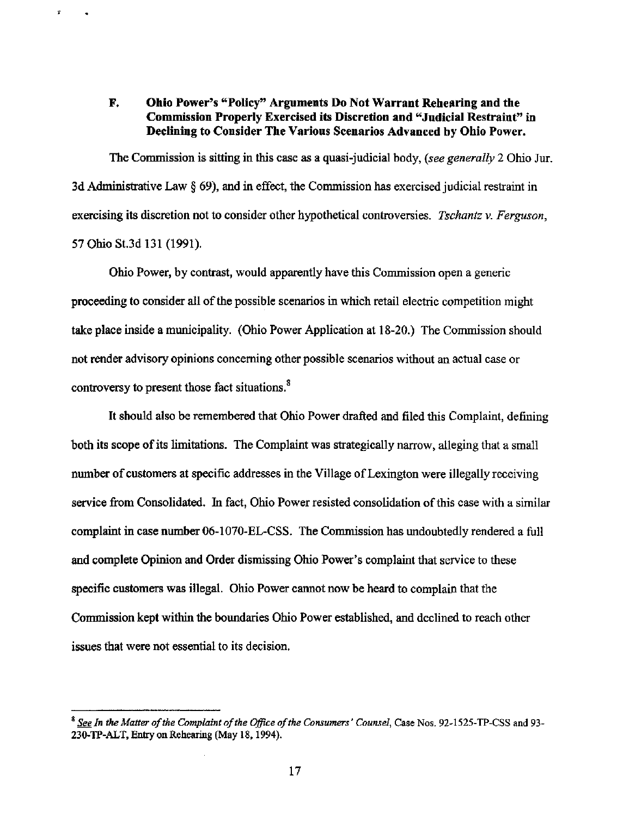## F. Ohio Power's "Policy" Arguments Do Not Warrant Rehearing and the Commission Properly Exercised its Discretion and "Judicial Restraint" in Declining to Consider The Various Scenarios Advanced by Ohio Power.

 $\vec{x}$ 

 $\bullet$ 

The Commission is sitting in this case as a quasi-judicial body, (see generally 2 Ohio Jur. 3d Administrative Law § 69), and in effect, the Commission has exercised judicial restraint in exercising its discretion not to consider other hypothetical controversies. Tschantz v. Ferguson, 57 Ohio St.3d 131 (1991).

Ohio Power, by contrast, would apparently have this Commission open a generic proceeding to consider all of the possible scenarios in which retail electric competition might take place inside a municipality. (Ohio Power Application at 18-20.) The Commission should not render advisory opinions concerning other possible scenarios without an actual case or controversy to present those fact situations.<sup>8</sup>

It should also be remembered that Ohio Power drafted and filed this Complaint, defining both its scope of its limitations. The Complaint was strategically narrow, alleging that a small number of customers at specific addresses in the Village of Lexington were illegally receiving service from Consolidated. In fact, Ohio Power resisted consolidation of this case with a similar complaint in case number 06-1070-EL-CSS. The Commission has undoubtedly rendered a full and complete Opinion and Order dismissing Ohio Power's complaint that service to these specific customers was illegal. Ohio Power cannot now be heard to complain that the Commission kept within the boundaries Ohio Power established, and declined to reach other issues that were not essential to its decision.

 $^8$  See In the Matter of the Complaint of the Office of the Consumers' Counsel, Case Nos. 92-1525-TP-CSS and 93-230-TP-ALT, Entry on Rehearing (May 18,1994).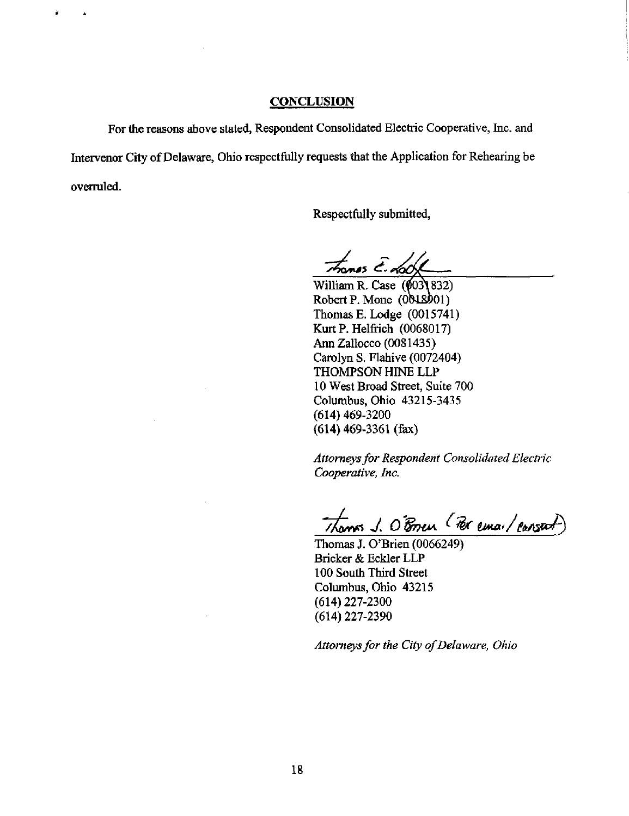#### **CONCLUSION**

For the reasons above stated, Respondent Consotidated Electric Cooperative, Inc. and Intervenor City of Delaware, Ohio respectfully requests that the Application for Rehearing be overruled.

Respectfully submitted.

 $\tau$ trones E-dock

William R. Case (0031832) Robert P. Mone  $(0018901)$ Thomas E. Lodge (0015741) Kurt P. Helfrich (0068017) Ann Zallocco (0081435) Carolyn S, Flahive (0072404) THOMPSON HINE LLP 10 West Broad Street, Suite 700 Columbus, Ohio 43215-3435 (614)469-3200 (614) 469-3361 (fax)

Attorneys for Respondent Consolidated Electric Cooperative, Inc.

Thomas J. O'Bren (Per email cansact)

Thomas J. O'Brien (0066249) Bricker & Eckler LLP 100 South Third Street Columbus, Ohio 43215 (614)227-2300 (614)227-2390

Attorneys for the City of Delaware, Ohio